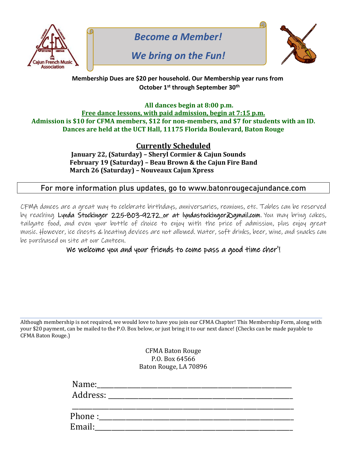

*Become a Member!*

# *We bring on the Fun!*



#### **Membership Dues are \$20 per household. Our Membership year runs from October 1st through September 30th**

#### **All dances begin at 8:00 p.m. Free dance lessons, with paid admission, begin at 7:15 p.m. Admission is \$10 for CFMA members, \$12 for non-members, and \$7 for students with an ID. Dances are held at the UCT Hall, 11175 Florida Boulevard, Baton Rouge**

**Currently Scheduled**

 **January 22, (Saturday) – Sheryl Cormier & Cajun Sounds February 19 (Saturday) – Beau Brown & the Cajun Fire Band March 26 (Saturday) – Nouveaux Cajun Xpress**

## **For more information plus updates, go to www.batonrougecajundance.com**

CFMA dances are a great way to celebrate birthdays, anniversaries, reunions, etc. Tables can be reserved by reaching Lynda Stockinger 225-803-9272 or at lyndastockinger agmail.com. You may bring cakes, tailgate food, and even your bottle of choice to enjoy with the price of admission, plus enjoy great music. However, ice chests & heating devices are not allowed. Water, soft drinks, beer, wine, and snacks can be purchased on site at our Canteen.

### We welcome you and your friends to come pass a good time cher'!

Although membership is not required, we would love to have you join our CFMA Chapter! This Membership Form, along with your \$20 payment, can be mailed to the P.O. Box below, or just bring it to our next dance! (Checks can be made payable to CFMA Baton Rouge.)

> CFMA Baton Rouge P.O. Box 64566 Baton Rouge, LA 70896

| Name:<br>Address: and the state of the state of the state of the state of the state of the state of the state of the state of the state of the state of the state of the state of the state of the state of the state of the state of t |
|-----------------------------------------------------------------------------------------------------------------------------------------------------------------------------------------------------------------------------------------|
| Phone:<br>Email:                                                                                                                                                                                                                        |